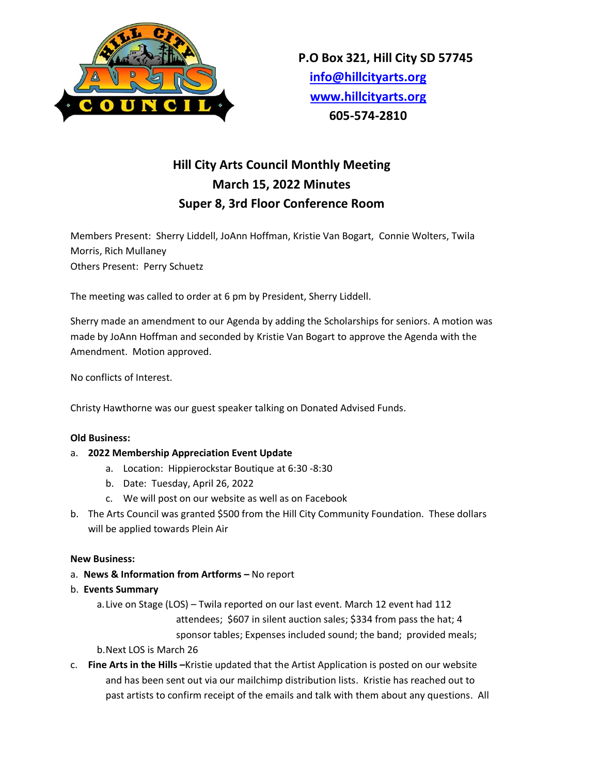

# **Hill City Arts Council Monthly Meeting March 15, 2022 Minutes Super 8, 3rd Floor Conference Room**

Members Present: Sherry Liddell, JoAnn Hoffman, Kristie Van Bogart, Connie Wolters, Twila Morris, Rich Mullaney Others Present: Perry Schuetz

The meeting was called to order at 6 pm by President, Sherry Liddell.

Sherry made an amendment to our Agenda by adding the Scholarships for seniors. A motion was made by JoAnn Hoffman and seconded by Kristie Van Bogart to approve the Agenda with the Amendment. Motion approved.

No conflicts of Interest.

Christy Hawthorne was our guest speaker talking on Donated Advised Funds.

### **Old Business:**

- a. **2022 Membership Appreciation Event Update**
	- a. Location: Hippierockstar Boutique at 6:30 -8:30
	- b. Date: Tuesday, April 26, 2022
	- c. We will post on our website as well as on Facebook
- b. The Arts Council was granted \$500 from the Hill City Community Foundation. These dollars will be applied towards Plein Air

### **New Business:**

- a. **News & Information from Artforms –** No report
- b. **Events Summary**
	- a.Live on Stage (LOS) Twila reported on our last event. March 12 event had 112 attendees; \$607 in silent auction sales; \$334 from pass the hat; 4 sponsor tables; Expenses included sound; the band; provided meals; b.Next LOS is March 26
- c. **Fine Arts in the Hills –**Kristie updated that the Artist Application is posted on our website and has been sent out via our mailchimp distribution lists. Kristie has reached out to past artists to confirm receipt of the emails and talk with them about any questions. All